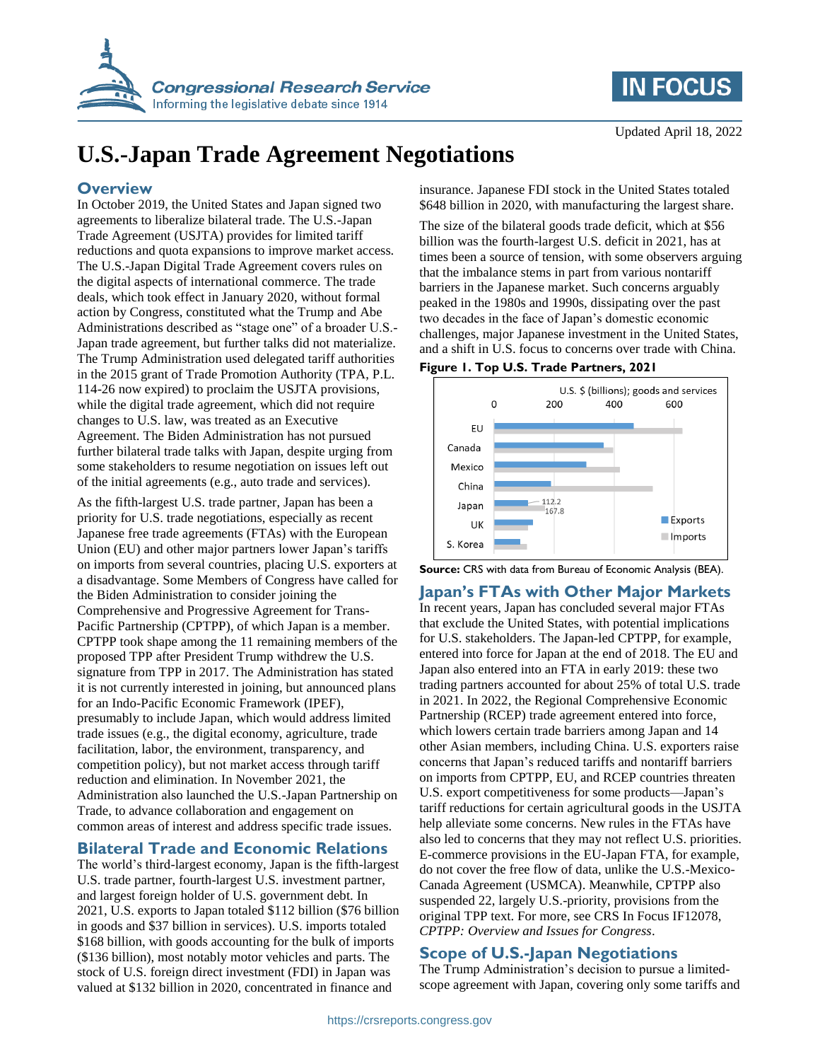

## **IN FOCUS**

# **U.S.-Japan Trade Agreement Negotiations**

## **Overview**

In October 2019, the United States and Japan signed two agreements to liberalize bilateral trade. The U.S.-Japan Trade Agreement (USJTA) provides for limited tariff reductions and quota expansions to improve market access. The U.S.-Japan Digital Trade Agreement covers rules on the digital aspects of international commerce. The trade deals, which took effect in January 2020, without formal action by Congress, constituted what the Trump and Abe Administrations described as "stage one" of a broader U.S.- Japan trade agreement, but further talks did not materialize. The Trump Administration used delegated tariff authorities in the 2015 grant of Trade Promotion Authority (TPA, P.L. 114-26 now expired) to proclaim the USJTA provisions, while the digital trade agreement, which did not require changes to U.S. law, was treated as an Executive Agreement. The Biden Administration has not pursued further bilateral trade talks with Japan, despite urging from some stakeholders to resume negotiation on issues left out of the initial agreements (e.g., auto trade and services).

As the fifth-largest U.S. trade partner, Japan has been a priority for U.S. trade negotiations, especially as recent Japanese free trade agreements (FTAs) with the European Union (EU) and other major partners lower Japan's tariffs on imports from several countries, placing U.S. exporters at a disadvantage. Some Members of Congress have called for the Biden Administration to consider joining the Comprehensive and Progressive Agreement for Trans-Pacific Partnership (CPTPP), of which Japan is a member. CPTPP took shape among the 11 remaining members of the proposed TPP after President Trump withdrew the U.S. signature from TPP in 2017. The Administration has stated it is not currently interested in joining, but announced plans for an Indo-Pacific Economic Framework (IPEF), presumably to include Japan, which would address limited trade issues (e.g., the digital economy, agriculture, trade facilitation, labor, the environment, transparency, and competition policy), but not market access through tariff reduction and elimination. In November 2021, the Administration also launched the U.S.-Japan Partnership on Trade, to advance collaboration and engagement on common areas of interest and address specific trade issues.

## **Bilateral Trade and Economic Relations**

The world's third-largest economy, Japan is the fifth-largest U.S. trade partner, fourth-largest U.S. investment partner, and largest foreign holder of U.S. government debt. In 2021, U.S. exports to Japan totaled \$112 billion (\$76 billion in goods and \$37 billion in services). U.S. imports totaled \$168 billion, with goods accounting for the bulk of imports (\$136 billion), most notably motor vehicles and parts. The stock of U.S. foreign direct investment (FDI) in Japan was valued at \$132 billion in 2020, concentrated in finance and

insurance. Japanese FDI stock in the United States totaled \$648 billion in 2020, with manufacturing the largest share.

The size of the bilateral goods trade deficit, which at \$56 billion was the fourth-largest U.S. deficit in 2021, has at times been a source of tension, with some observers arguing that the imbalance stems in part from various nontariff barriers in the Japanese market. Such concerns arguably peaked in the 1980s and 1990s, dissipating over the past two decades in the face of Japan's domestic economic challenges, major Japanese investment in the United States, and a shift in U.S. focus to concerns over trade with China.

#### **Figure 1. Top U.S. Trade Partners, 2021**



**Source:** CRS with data from Bureau of Economic Analysis (BEA).

## **Japan's FTAs with Other Major Markets**

In recent years, Japan has concluded several major FTAs that exclude the United States, with potential implications for U.S. stakeholders. The Japan-led CPTPP, for example, entered into force for Japan at the end of 2018. The EU and Japan also entered into an FTA in early 2019: these two trading partners accounted for about 25% of total U.S. trade in 2021. In 2022, the Regional Comprehensive Economic Partnership (RCEP) trade agreement entered into force, which lowers certain trade barriers among Japan and 14 other Asian members, including China. U.S. exporters raise concerns that Japan's reduced tariffs and nontariff barriers on imports from CPTPP, EU, and RCEP countries threaten U.S. export competitiveness for some products—Japan's tariff reductions for certain agricultural goods in the USJTA help alleviate some concerns. New rules in the FTAs have also led to concerns that they may not reflect U.S. priorities. E-commerce provisions in the EU-Japan FTA, for example, do not cover the free flow of data, unlike the U.S.-Mexico-Canada Agreement (USMCA). Meanwhile, CPTPP also suspended 22, largely U.S.-priority, provisions from the original TPP text. For more, see CRS In Focus IF12078, *CPTPP: Overview and Issues for Congress*.

## **Scope of U.S.-Japan Negotiations**

The Trump Administration's decision to pursue a limitedscope agreement with Japan, covering only some tariffs and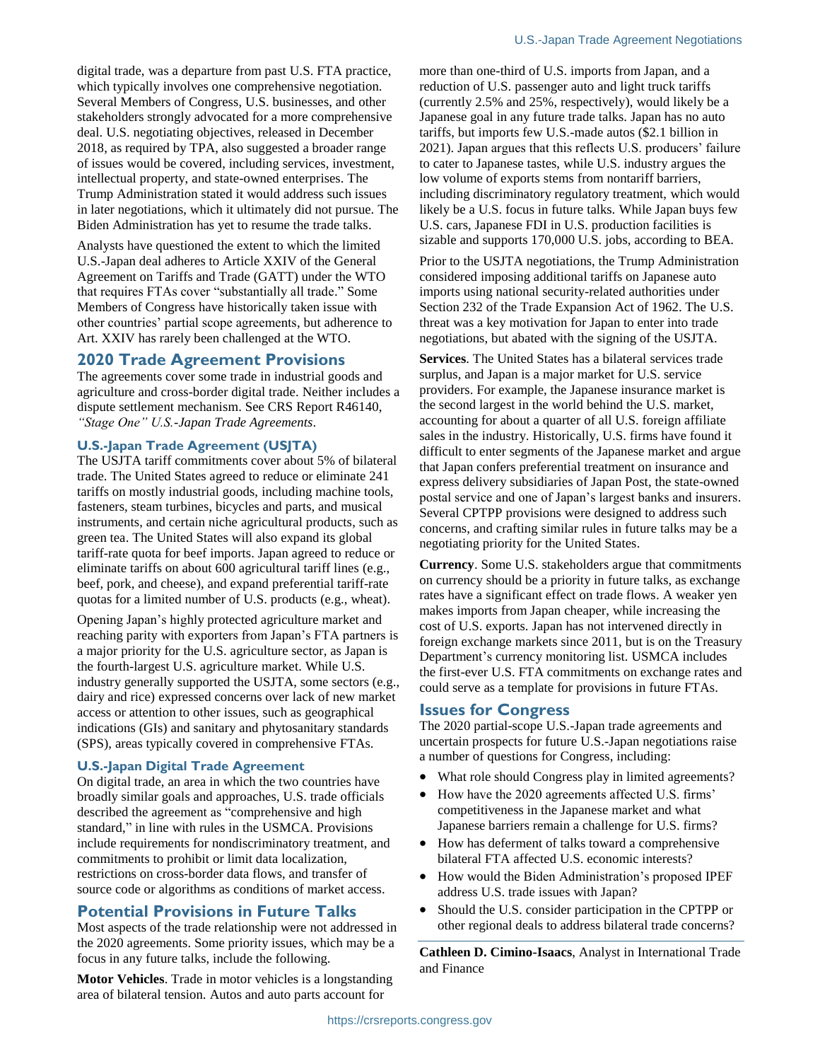digital trade, was a departure from past U.S. FTA practice, which typically involves one comprehensive negotiation. Several Members of Congress, U.S. businesses, and other stakeholders strongly advocated for a more comprehensive deal. U.S. negotiating objectives, released in December 2018, as required by TPA, also suggested a broader range of issues would be covered, including services, investment, intellectual property, and state-owned enterprises. The Trump Administration stated it would address such issues in later negotiations, which it ultimately did not pursue. The Biden Administration has yet to resume the trade talks.

Analysts have questioned the extent to which the limited U.S.-Japan deal adheres to Article XXIV of the General Agreement on Tariffs and Trade (GATT) under the WTO that requires FTAs cover "substantially all trade." Some Members of Congress have historically taken issue with other countries' partial scope agreements, but adherence to Art. XXIV has rarely been challenged at the WTO.

#### **2020 Trade Agreement Provisions**

The agreements cover some trade in industrial goods and agriculture and cross-border digital trade. Neither includes a dispute settlement mechanism. See CRS Report R46140, *"Stage One" U.S.-Japan Trade Agreements*.

#### **U.S.-Japan Trade Agreement (USJTA)**

The USJTA tariff commitments cover about 5% of bilateral trade. The United States agreed to reduce or eliminate 241 tariffs on mostly industrial goods, including machine tools, fasteners, steam turbines, bicycles and parts, and musical instruments, and certain niche agricultural products, such as green tea. The United States will also expand its global tariff-rate quota for beef imports. Japan agreed to reduce or eliminate tariffs on about 600 agricultural tariff lines (e.g., beef, pork, and cheese), and expand preferential tariff-rate quotas for a limited number of U.S. products (e.g., wheat).

Opening Japan's highly protected agriculture market and reaching parity with exporters from Japan's FTA partners is a major priority for the U.S. agriculture sector, as Japan is the fourth-largest U.S. agriculture market. While U.S. industry generally supported the USJTA, some sectors (e.g., dairy and rice) expressed concerns over lack of new market access or attention to other issues, such as geographical indications (GIs) and sanitary and phytosanitary standards (SPS), areas typically covered in comprehensive FTAs.

#### **U.S.-Japan Digital Trade Agreement**

On digital trade, an area in which the two countries have broadly similar goals and approaches, U.S. trade officials described the agreement as "comprehensive and high standard," in line with rules in the USMCA. Provisions include requirements for nondiscriminatory treatment, and commitments to prohibit or limit data localization, restrictions on cross-border data flows, and transfer of source code or algorithms as conditions of market access.

#### **Potential Provisions in Future Talks**

Most aspects of the trade relationship were not addressed in the 2020 agreements. Some priority issues, which may be a focus in any future talks, include the following.

**Motor Vehicles**. Trade in motor vehicles is a longstanding area of bilateral tension. Autos and auto parts account for

more than one-third of U.S. imports from Japan, and a reduction of U.S. passenger auto and light truck tariffs (currently 2.5% and 25%, respectively), would likely be a Japanese goal in any future trade talks. Japan has no auto tariffs, but imports few U.S.-made autos (\$2.1 billion in 2021). Japan argues that this reflects U.S. producers' failure to cater to Japanese tastes, while U.S. industry argues the low volume of exports stems from nontariff barriers, including discriminatory regulatory treatment, which would likely be a U.S. focus in future talks. While Japan buys few U.S. cars, Japanese FDI in U.S. production facilities is sizable and supports 170,000 U.S. jobs, according to BEA.

Prior to the USJTA negotiations, the Trump Administration considered imposing additional tariffs on Japanese auto imports using national security-related authorities under Section 232 of the Trade Expansion Act of 1962. The U.S. threat was a key motivation for Japan to enter into trade negotiations, but abated with the signing of the USJTA.

**Services**. The United States has a bilateral services trade surplus, and Japan is a major market for U.S. service providers. For example, the Japanese insurance market is the second largest in the world behind the U.S. market, accounting for about a quarter of all U.S. foreign affiliate sales in the industry. Historically, U.S. firms have found it difficult to enter segments of the Japanese market and argue that Japan confers preferential treatment on insurance and express delivery subsidiaries of Japan Post, the state-owned postal service and one of Japan's largest banks and insurers. Several CPTPP provisions were designed to address such concerns, and crafting similar rules in future talks may be a negotiating priority for the United States.

**Currency**. Some U.S. stakeholders argue that commitments on currency should be a priority in future talks, as exchange rates have a significant effect on trade flows. A weaker yen makes imports from Japan cheaper, while increasing the cost of U.S. exports. Japan has not intervened directly in foreign exchange markets since 2011, but is on the Treasury Department's currency monitoring list. USMCA includes the first-ever U.S. FTA commitments on exchange rates and could serve as a template for provisions in future FTAs.

#### **Issues for Congress**

The 2020 partial-scope U.S.-Japan trade agreements and uncertain prospects for future U.S.-Japan negotiations raise a number of questions for Congress, including:

- What role should Congress play in limited agreements?
- How have the 2020 agreements affected U.S. firms' competitiveness in the Japanese market and what Japanese barriers remain a challenge for U.S. firms?
- How has deferment of talks toward a comprehensive bilateral FTA affected U.S. economic interests?
- How would the Biden Administration's proposed IPEF address U.S. trade issues with Japan?
- Should the U.S. consider participation in the CPTPP or other regional deals to address bilateral trade concerns?

**Cathleen D. Cimino-Isaacs**, Analyst in International Trade and Finance